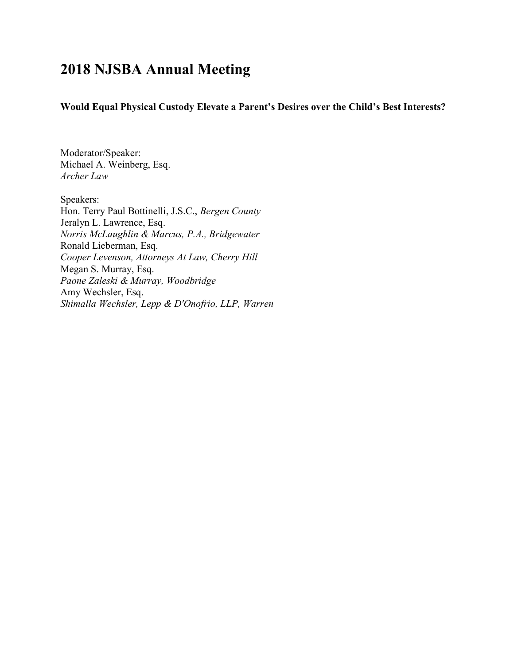## 2018 NJSBA Annual Meeting

Would Equal Physical Custody Elevate a Parent's Desires over the Child's Best Interests?

Moderator/Speaker: Michael A. Weinberg, Esq. Archer Law

Speakers: Hon. Terry Paul Bottinelli, J.S.C., Bergen County Jeralyn L. Lawrence, Esq. Norris McLaughlin & Marcus, P.A., Bridgewater Ronald Lieberman, Esq. Cooper Levenson, Attorneys At Law, Cherry Hill Megan S. Murray, Esq. Paone Zaleski & Murray, Woodbridge Amy Wechsler, Esq. Shimalla Wechsler, Lepp & D'Onofrio, LLP, Warren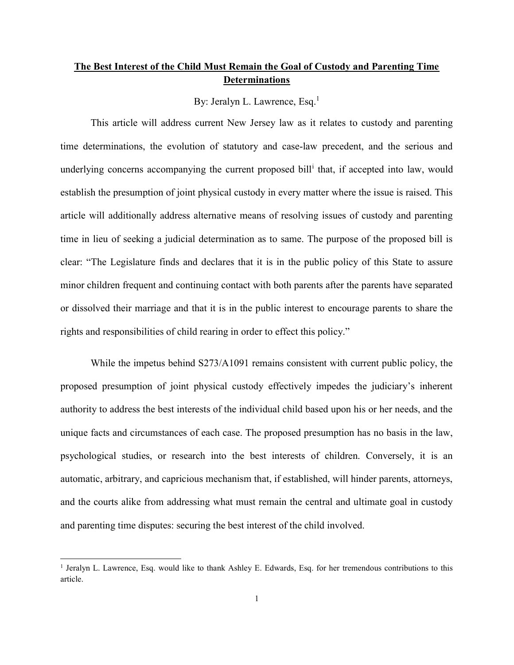## The Best Interest of the Child Must Remain the Goal of Custody and Parenting Time **Determinations**

By: Jeralyn L. Lawrence, Esq. $<sup>1</sup>$ </sup>

 This article will address current New Jersey law as it relates to custody and parenting time determinations, the evolution of statutory and case-law precedent, and the serious and underlying concerns accompanying the current proposed bill<sup>i</sup> that, if accepted into law, would establish the presumption of joint physical custody in every matter where the issue is raised. This article will additionally address alternative means of resolving issues of custody and parenting time in lieu of seeking a judicial determination as to same. The purpose of the proposed bill is clear: "The Legislature finds and declares that it is in the public policy of this State to assure minor children frequent and continuing contact with both parents after the parents have separated or dissolved their marriage and that it is in the public interest to encourage parents to share the rights and responsibilities of child rearing in order to effect this policy."

While the impetus behind  $S273/A1091$  remains consistent with current public policy, the proposed presumption of joint physical custody effectively impedes the judiciary's inherent authority to address the best interests of the individual child based upon his or her needs, and the unique facts and circumstances of each case. The proposed presumption has no basis in the law, psychological studies, or research into the best interests of children. Conversely, it is an automatic, arbitrary, and capricious mechanism that, if established, will hinder parents, attorneys, and the courts alike from addressing what must remain the central and ultimate goal in custody and parenting time disputes: securing the best interest of the child involved.

 $\overline{a}$ 

<sup>&</sup>lt;sup>1</sup> Jeralyn L. Lawrence, Esq. would like to thank Ashley E. Edwards, Esq. for her tremendous contributions to this article.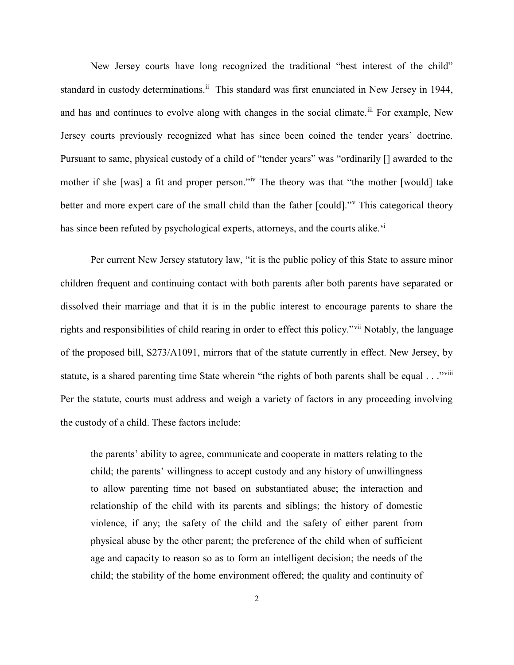New Jersey courts have long recognized the traditional "best interest of the child" standard in custody determinations.<sup>ii</sup> This standard was first enunciated in New Jersey in 1944, and has and continues to evolve along with changes in the social climate.<sup>iii</sup> For example, New Jersey courts previously recognized what has since been coined the tender years' doctrine. Pursuant to same, physical custody of a child of "tender years" was "ordinarily [] awarded to the mother if she [was] a fit and proper person."<sup>iv</sup> The theory was that "the mother [would] take better and more expert care of the small child than the father [could]." This categorical theory has since been refuted by psychological experts, attorneys, and the courts alike.<sup>vi</sup>

Per current New Jersey statutory law, "it is the public policy of this State to assure minor children frequent and continuing contact with both parents after both parents have separated or dissolved their marriage and that it is in the public interest to encourage parents to share the rights and responsibilities of child rearing in order to effect this policy."vii Notably, the language of the proposed bill, S273/A1091, mirrors that of the statute currently in effect. New Jersey, by statute, is a shared parenting time State wherein "the rights of both parents shall be equal . . ."viii Per the statute, courts must address and weigh a variety of factors in any proceeding involving the custody of a child. These factors include:

the parents' ability to agree, communicate and cooperate in matters relating to the child; the parents' willingness to accept custody and any history of unwillingness to allow parenting time not based on substantiated abuse; the interaction and relationship of the child with its parents and siblings; the history of domestic violence, if any; the safety of the child and the safety of either parent from physical abuse by the other parent; the preference of the child when of sufficient age and capacity to reason so as to form an intelligent decision; the needs of the child; the stability of the home environment offered; the quality and continuity of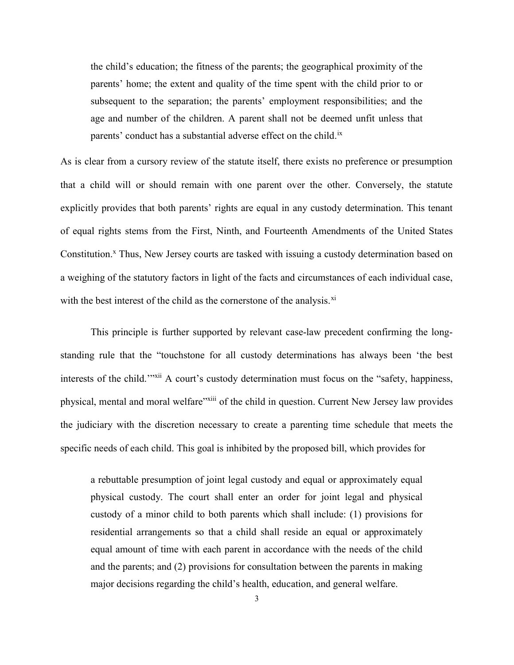the child's education; the fitness of the parents; the geographical proximity of the parents' home; the extent and quality of the time spent with the child prior to or subsequent to the separation; the parents' employment responsibilities; and the age and number of the children. A parent shall not be deemed unfit unless that parents' conduct has a substantial adverse effect on the child.<sup>ix</sup>

As is clear from a cursory review of the statute itself, there exists no preference or presumption that a child will or should remain with one parent over the other. Conversely, the statute explicitly provides that both parents' rights are equal in any custody determination. This tenant of equal rights stems from the First, Ninth, and Fourteenth Amendments of the United States Constitution.<sup>x</sup> Thus, New Jersey courts are tasked with issuing a custody determination based on a weighing of the statutory factors in light of the facts and circumstances of each individual case, with the best interest of the child as the cornerstone of the analysis.<sup>xi</sup>

 This principle is further supported by relevant case-law precedent confirming the longstanding rule that the "touchstone for all custody determinations has always been 'the best interests of the child.'"<sup>xii</sup> A court's custody determination must focus on the "safety, happiness, physical, mental and moral welfare"<sup>xiii</sup> of the child in question. Current New Jersey law provides the judiciary with the discretion necessary to create a parenting time schedule that meets the specific needs of each child. This goal is inhibited by the proposed bill, which provides for

a rebuttable presumption of joint legal custody and equal or approximately equal physical custody. The court shall enter an order for joint legal and physical custody of a minor child to both parents which shall include: (1) provisions for residential arrangements so that a child shall reside an equal or approximately equal amount of time with each parent in accordance with the needs of the child and the parents; and (2) provisions for consultation between the parents in making major decisions regarding the child's health, education, and general welfare.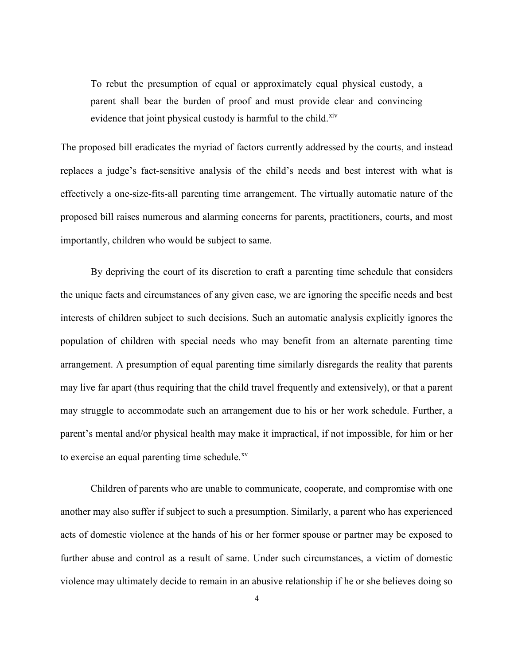To rebut the presumption of equal or approximately equal physical custody, a parent shall bear the burden of proof and must provide clear and convincing evidence that joint physical custody is harmful to the child.<sup>xiv</sup>

The proposed bill eradicates the myriad of factors currently addressed by the courts, and instead replaces a judge's fact-sensitive analysis of the child's needs and best interest with what is effectively a one-size-fits-all parenting time arrangement. The virtually automatic nature of the proposed bill raises numerous and alarming concerns for parents, practitioners, courts, and most importantly, children who would be subject to same.

 By depriving the court of its discretion to craft a parenting time schedule that considers the unique facts and circumstances of any given case, we are ignoring the specific needs and best interests of children subject to such decisions. Such an automatic analysis explicitly ignores the population of children with special needs who may benefit from an alternate parenting time arrangement. A presumption of equal parenting time similarly disregards the reality that parents may live far apart (thus requiring that the child travel frequently and extensively), or that a parent may struggle to accommodate such an arrangement due to his or her work schedule. Further, a parent's mental and/or physical health may make it impractical, if not impossible, for him or her to exercise an equal parenting time schedule.<sup>xv</sup>

 Children of parents who are unable to communicate, cooperate, and compromise with one another may also suffer if subject to such a presumption. Similarly, a parent who has experienced acts of domestic violence at the hands of his or her former spouse or partner may be exposed to further abuse and control as a result of same. Under such circumstances, a victim of domestic violence may ultimately decide to remain in an abusive relationship if he or she believes doing so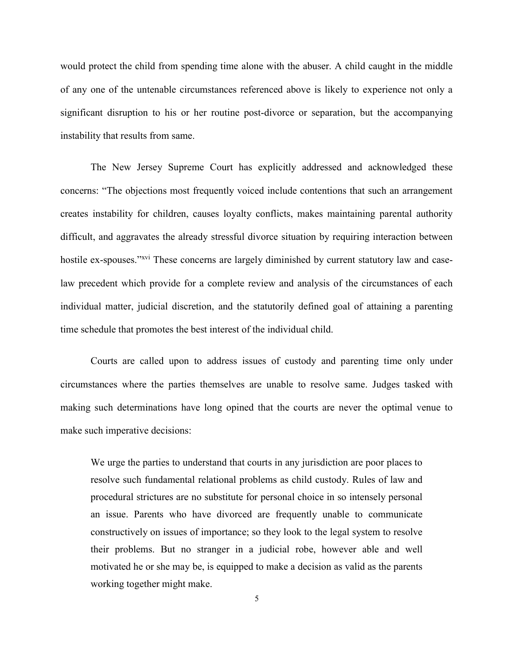would protect the child from spending time alone with the abuser. A child caught in the middle of any one of the untenable circumstances referenced above is likely to experience not only a significant disruption to his or her routine post-divorce or separation, but the accompanying instability that results from same.

The New Jersey Supreme Court has explicitly addressed and acknowledged these concerns: "The objections most frequently voiced include contentions that such an arrangement creates instability for children, causes loyalty conflicts, makes maintaining parental authority difficult, and aggravates the already stressful divorce situation by requiring interaction between hostile ex-spouses."<sup>xvi</sup> These concerns are largely diminished by current statutory law and caselaw precedent which provide for a complete review and analysis of the circumstances of each individual matter, judicial discretion, and the statutorily defined goal of attaining a parenting time schedule that promotes the best interest of the individual child.

 Courts are called upon to address issues of custody and parenting time only under circumstances where the parties themselves are unable to resolve same. Judges tasked with making such determinations have long opined that the courts are never the optimal venue to make such imperative decisions:

We urge the parties to understand that courts in any jurisdiction are poor places to resolve such fundamental relational problems as child custody. Rules of law and procedural strictures are no substitute for personal choice in so intensely personal an issue. Parents who have divorced are frequently unable to communicate constructively on issues of importance; so they look to the legal system to resolve their problems. But no stranger in a judicial robe, however able and well motivated he or she may be, is equipped to make a decision as valid as the parents working together might make.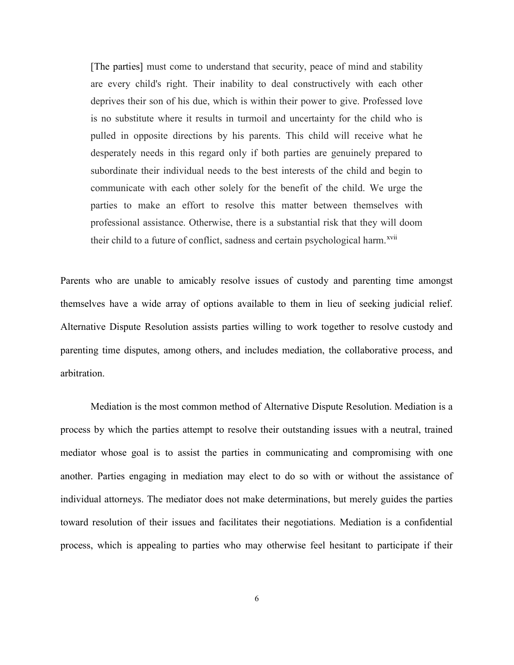[The parties] must come to understand that security, peace of mind and stability are every child's right. Their inability to deal constructively with each other deprives their son of his due, which is within their power to give. Professed love is no substitute where it results in turmoil and uncertainty for the child who is pulled in opposite directions by his parents. This child will receive what he desperately needs in this regard only if both parties are genuinely prepared to subordinate their individual needs to the best interests of the child and begin to communicate with each other solely for the benefit of the child. We urge the parties to make an effort to resolve this matter between themselves with professional assistance. Otherwise, there is a substantial risk that they will doom their child to a future of conflict, sadness and certain psychological harm.<sup>xvii</sup>

Parents who are unable to amicably resolve issues of custody and parenting time amongst themselves have a wide array of options available to them in lieu of seeking judicial relief. Alternative Dispute Resolution assists parties willing to work together to resolve custody and parenting time disputes, among others, and includes mediation, the collaborative process, and arbitration.

 Mediation is the most common method of Alternative Dispute Resolution. Mediation is a process by which the parties attempt to resolve their outstanding issues with a neutral, trained mediator whose goal is to assist the parties in communicating and compromising with one another. Parties engaging in mediation may elect to do so with or without the assistance of individual attorneys. The mediator does not make determinations, but merely guides the parties toward resolution of their issues and facilitates their negotiations. Mediation is a confidential process, which is appealing to parties who may otherwise feel hesitant to participate if their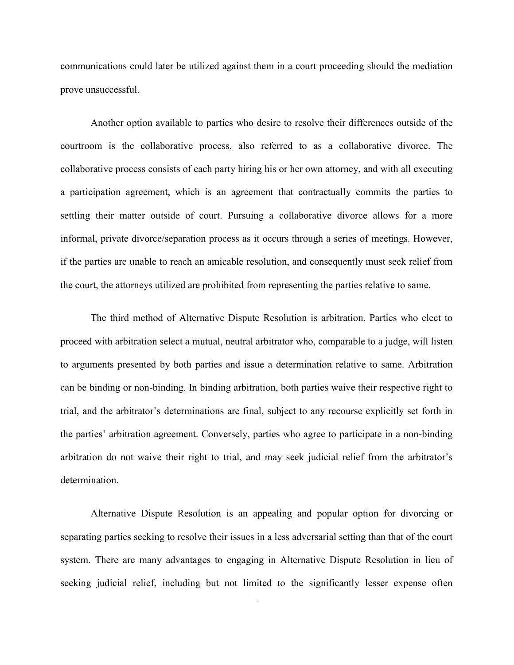communications could later be utilized against them in a court proceeding should the mediation prove unsuccessful.

 Another option available to parties who desire to resolve their differences outside of the courtroom is the collaborative process, also referred to as a collaborative divorce. The collaborative process consists of each party hiring his or her own attorney, and with all executing a participation agreement, which is an agreement that contractually commits the parties to settling their matter outside of court. Pursuing a collaborative divorce allows for a more informal, private divorce/separation process as it occurs through a series of meetings. However, if the parties are unable to reach an amicable resolution, and consequently must seek relief from the court, the attorneys utilized are prohibited from representing the parties relative to same.

 The third method of Alternative Dispute Resolution is arbitration. Parties who elect to proceed with arbitration select a mutual, neutral arbitrator who, comparable to a judge, will listen to arguments presented by both parties and issue a determination relative to same. Arbitration can be binding or non-binding. In binding arbitration, both parties waive their respective right to trial, and the arbitrator's determinations are final, subject to any recourse explicitly set forth in the parties' arbitration agreement. Conversely, parties who agree to participate in a non-binding arbitration do not waive their right to trial, and may seek judicial relief from the arbitrator's determination.

 Alternative Dispute Resolution is an appealing and popular option for divorcing or separating parties seeking to resolve their issues in a less adversarial setting than that of the court system. There are many advantages to engaging in Alternative Dispute Resolution in lieu of seeking judicial relief, including but not limited to the significantly lesser expense often

7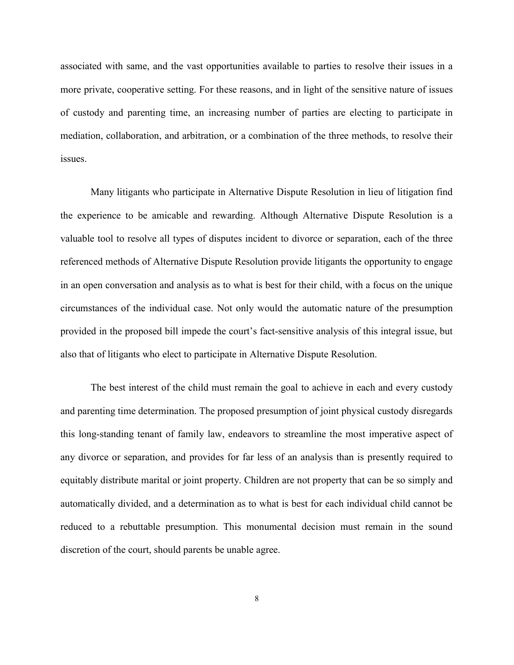associated with same, and the vast opportunities available to parties to resolve their issues in a more private, cooperative setting. For these reasons, and in light of the sensitive nature of issues of custody and parenting time, an increasing number of parties are electing to participate in mediation, collaboration, and arbitration, or a combination of the three methods, to resolve their issues.

 Many litigants who participate in Alternative Dispute Resolution in lieu of litigation find the experience to be amicable and rewarding. Although Alternative Dispute Resolution is a valuable tool to resolve all types of disputes incident to divorce or separation, each of the three referenced methods of Alternative Dispute Resolution provide litigants the opportunity to engage in an open conversation and analysis as to what is best for their child, with a focus on the unique circumstances of the individual case. Not only would the automatic nature of the presumption provided in the proposed bill impede the court's fact-sensitive analysis of this integral issue, but also that of litigants who elect to participate in Alternative Dispute Resolution.

The best interest of the child must remain the goal to achieve in each and every custody and parenting time determination. The proposed presumption of joint physical custody disregards this long-standing tenant of family law, endeavors to streamline the most imperative aspect of any divorce or separation, and provides for far less of an analysis than is presently required to equitably distribute marital or joint property. Children are not property that can be so simply and automatically divided, and a determination as to what is best for each individual child cannot be reduced to a rebuttable presumption. This monumental decision must remain in the sound discretion of the court, should parents be unable agree.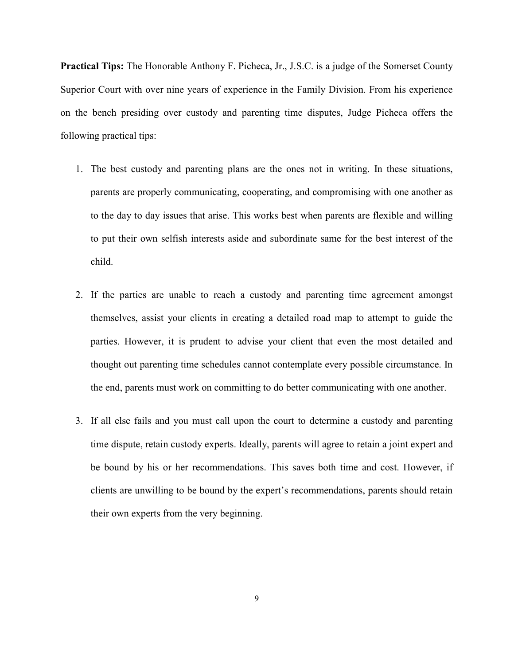Practical Tips: The Honorable Anthony F. Picheca, Jr., J.S.C. is a judge of the Somerset County Superior Court with over nine years of experience in the Family Division. From his experience on the bench presiding over custody and parenting time disputes, Judge Picheca offers the following practical tips:

- 1. The best custody and parenting plans are the ones not in writing. In these situations, parents are properly communicating, cooperating, and compromising with one another as to the day to day issues that arise. This works best when parents are flexible and willing to put their own selfish interests aside and subordinate same for the best interest of the child.
- 2. If the parties are unable to reach a custody and parenting time agreement amongst themselves, assist your clients in creating a detailed road map to attempt to guide the parties. However, it is prudent to advise your client that even the most detailed and thought out parenting time schedules cannot contemplate every possible circumstance. In the end, parents must work on committing to do better communicating with one another.
- 3. If all else fails and you must call upon the court to determine a custody and parenting time dispute, retain custody experts. Ideally, parents will agree to retain a joint expert and be bound by his or her recommendations. This saves both time and cost. However, if clients are unwilling to be bound by the expert's recommendations, parents should retain their own experts from the very beginning.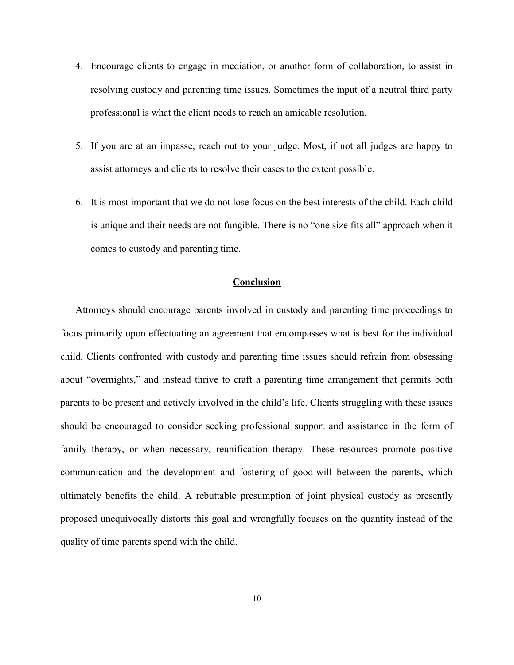- 4. Encourage clients to engage in mediation, or another form of collaboration, to assist in resolving custody and parenting time issues. Sometimes the input of a neutral third party professional is what the client needs to reach an amicable resolution.
- 5. If you are at an impasse, reach out to your judge. Most, if not all judges are happy to assist attorneys and clients to resolve their cases to the extent possible.
- 6. It is most important that we do not lose focus on the best interests of the child. Each child is unique and their needs are not fungible. There is no "one size fits all" approach when it comes to custody and parenting time.

## Conclusion

Attorneys should encourage parents involved in custody and parenting time proceedings to focus primarily upon effectuating an agreement that encompasses what is best for the individual child. Clients confronted with custody and parenting time issues should refrain from obsessing about "overnights," and instead thrive to craft a parenting time arrangement that permits both parents to be present and actively involved in the child's life. Clients struggling with these issues should be encouraged to consider seeking professional support and assistance in the form of family therapy, or when necessary, reunification therapy. These resources promote positive communication and the development and fostering of good-will between the parents, which ultimately benefits the child. A rebuttable presumption of joint physical custody as presently proposed unequivocally distorts this goal and wrongfully focuses on the quantity instead of the quality of time parents spend with the child.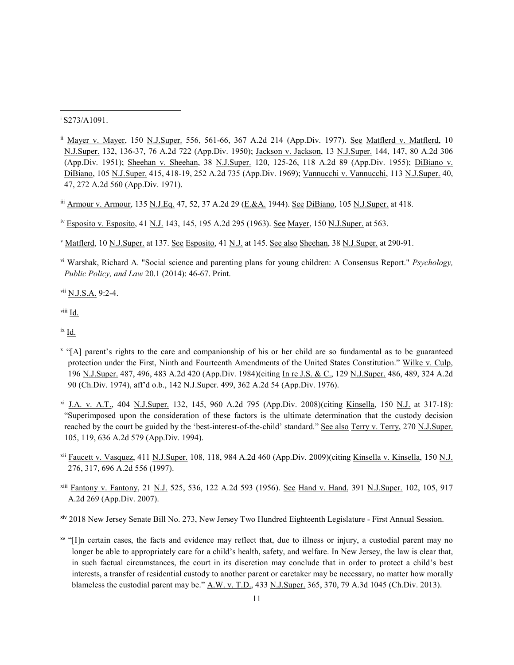<sup>i</sup> S273/A1091.

- ii Mayer v. Mayer, 150 N.J.Super. 556, 561-66, 367 A.2d 214 (App.Div. 1977). See Matflerd v. Matflerd, 10 N.J.Super. 132, 136-37, 76 A.2d 722 (App.Div. 1950); Jackson v. Jackson, 13 N.J.Super. 144, 147, 80 A.2d 306 (App.Div. 1951); Sheehan v. Sheehan, 38 N.J.Super. 120, 125-26, 118 A.2d 89 (App.Div. 1955); DiBiano v. DiBiano, 105 N.J.Super. 415, 418-19, 252 A.2d 735 (App.Div. 1969); Vannucchi v. Vannucchi, 113 N.J.Super. 40, 47, 272 A.2d 560 (App.Div. 1971).
- iii Armour v. Armour, 135 N.J.Eq. 47, 52, 37 A.2d 29 (E.&A. 1944). See DiBiano, 105 N.J.Super. at 418.

iv Esposito v. Esposito, 41 N.J. 143, 145, 195 A.2d 295 (1963). See Mayer, 150 N.J.Super. at 563.

<sup>v</sup> Matflerd, 10 N.J.Super. at 137. See Esposito, 41 N.J. at 145. See also Sheehan, 38 N.J.Super. at 290-91.

vi Warshak, Richard A. "Social science and parenting plans for young children: A Consensus Report." Psychology, Public Policy, and Law 20.1 (2014): 46-67. Print.

vii N.J.S.A. 9:2-4.

viii Id.

ix Id.

- x "[A] parent's rights to the care and companionship of his or her child are so fundamental as to be guaranteed protection under the First, Ninth and Fourteenth Amendments of the United States Constitution." Wilke v. Culp, 196 N.J.Super. 487, 496, 483 A.2d 420 (App.Div. 1984)(citing In re J.S. & C., 129 N.J.Super. 486, 489, 324 A.2d 90 (Ch.Div. 1974), aff'd o.b., 142 N.J.Super. 499, 362 A.2d 54 (App.Div. 1976).
- xi J.A. v. A.T., 404 N.J.Super. 132, 145, 960 A.2d 795 (App.Div. 2008)(citing Kinsella, 150 N.J. at 317-18): "Superimposed upon the consideration of these factors is the ultimate determination that the custody decision reached by the court be guided by the 'best-interest-of-the-child' standard." See also Terry v. Terry, 270 N.J.Super. 105, 119, 636 A.2d 579 (App.Div. 1994).
- xii Faucett v. Vasquez, 411 N.J.Super. 108, 118, 984 A.2d 460 (App.Div. 2009)(citing Kinsella v. Kinsella, 150 N.J. 276, 317, 696 A.2d 556 (1997).
- xiii Fantony v. Fantony, 21 N.J. 525, 536, 122 A.2d 593 (1956). See Hand v. Hand, 391 N.J.Super. 102, 105, 917 A.2d 269 (App.Div. 2007).

xiv 2018 New Jersey Senate Bill No. 273, New Jersey Two Hundred Eighteenth Legislature - First Annual Session.

xv "[I]n certain cases, the facts and evidence may reflect that, due to illness or injury, a custodial parent may no longer be able to appropriately care for a child's health, safety, and welfare. In New Jersey, the law is clear that, in such factual circumstances, the court in its discretion may conclude that in order to protect a child's best interests, a transfer of residential custody to another parent or caretaker may be necessary, no matter how morally blameless the custodial parent may be." A.W. v. T.D., 433 N.J.Super. 365, 370, 79 A.3d 1045 (Ch.Div. 2013).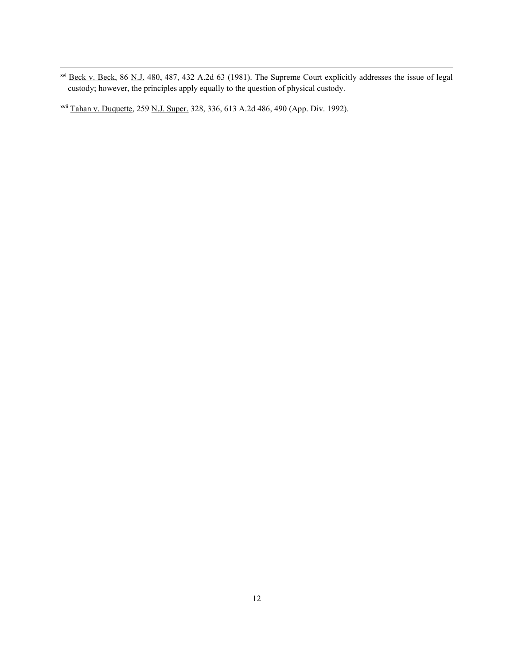<sup>xvi</sup> Beck v. Beck, 86 N.J. 480, 487, 432 A.2d 63 (1981). The Supreme Court explicitly addresses the issue of legal custody; however, the principles apply equally to the question of physical custody.

xvii Tahan v. Duquette, 259 N.J. Super. 328, 336, 613 A.2d 486, 490 (App. Div. 1992).